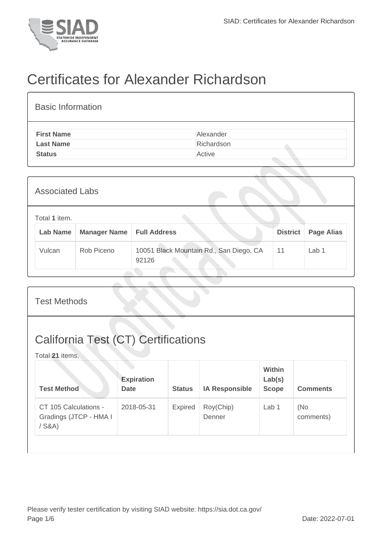

## Certificates for Alexander Richardson

| <b>Basic Information</b> |            |
|--------------------------|------------|
| <b>First Name</b>        | Alexander  |
| <b>Last Name</b>         | Richardson |
| <b>Status</b>            | Active     |
|                          |            |

| <b>Associated Labs</b>           |                     |                                                  |                 |                   |
|----------------------------------|---------------------|--------------------------------------------------|-----------------|-------------------|
| Total 1 item.<br><b>Lab Name</b> | <b>Manager Name</b> | <b>Full Address</b>                              | <b>District</b> | <b>Page Alias</b> |
| Vulcan                           | Rob Piceno          | 10051 Black Mountain Rd., San Diego, CA<br>92126 | 11              | Lab 1             |

| <b>Test Methods</b>                                           |                                  |               |                       |                                         |                  |
|---------------------------------------------------------------|----------------------------------|---------------|-----------------------|-----------------------------------------|------------------|
| <b>California Test (CT) Certifications</b><br>Total 21 items. |                                  |               |                       |                                         |                  |
| <b>Test Method</b>                                            | <b>Expiration</b><br><b>Date</b> | <b>Status</b> | <b>IA Responsible</b> | <b>Within</b><br>Lab(s)<br><b>Scope</b> | <b>Comments</b>  |
| CT 105 Calculations -<br>Gradings (JTCP - HMA I<br>$/$ S&A)   | 2018-05-31                       | Expired       | Roy(Chip)<br>Denner   | Lab 1                                   | (No<br>comments) |
|                                                               |                                  |               |                       |                                         |                  |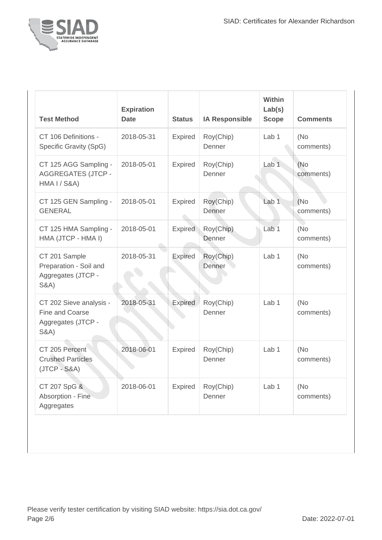

| <b>Test Method</b>                                                                  | <b>Expiration</b><br><b>Date</b> | <b>Status</b>  | <b>IA Responsible</b> | <b>Within</b><br>Lab(s)<br><b>Scope</b> | <b>Comments</b>   |
|-------------------------------------------------------------------------------------|----------------------------------|----------------|-----------------------|-----------------------------------------|-------------------|
| CT 106 Definitions -<br>Specific Gravity (SpG)                                      | 2018-05-31                       | Expired        | Roy(Chip)<br>Denner   | Lab <sub>1</sub>                        | (No<br>comments)  |
| CT 125 AGG Sampling -<br><b>AGGREGATES (JTCP -</b><br>HMA I / S&A)                  | 2018-05-01                       | <b>Expired</b> | Roy(Chip)<br>Denner   | Lab <sub>1</sub>                        | (No<br>comments)  |
| CT 125 GEN Sampling -<br><b>GENERAL</b>                                             | 2018-05-01                       | Expired        | Roy(Chip)<br>Denner   | Lab <sub>1</sub>                        | (No<br>comments)  |
| CT 125 HMA Sampling -<br>HMA (JTCP - HMA I)                                         | 2018-05-01                       | <b>Expired</b> | Roy(Chip)<br>Denner   | Lab <sub>1</sub>                        | (No<br>comments)  |
| CT 201 Sample<br>Preparation - Soil and<br>Aggregates (JTCP -<br><b>S&amp;A)</b>    | 2018-05-31                       | <b>Expired</b> | Roy(Chip)<br>Denner   | Lab <sub>1</sub>                        | (No<br>comments)  |
| CT 202 Sieve analysis -<br>Fine and Coarse<br>Aggregates (JTCP -<br><b>S&amp;A)</b> | 2018-05-31                       | <b>Expired</b> | Roy(Chip)<br>Denner   | Lab <sub>1</sub>                        | (No<br>comments)  |
| CT 205 Percent<br><b>Crushed Particles</b><br>$(JTCP - S&A)$                        | 2018-06-01                       | <b>Expired</b> | Roy(Chip)<br>Denner   | Lab <sub>1</sub>                        | (No)<br>comments) |
| CT 207 SpG &<br>Absorption - Fine<br>Aggregates                                     | 2018-06-01                       | Expired        | Roy(Chip)<br>Denner   | Lab <sub>1</sub>                        | (No)<br>comments) |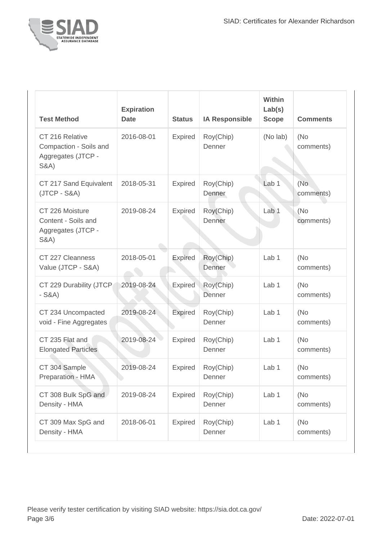

| <b>Test Method</b>                                                                 | <b>Expiration</b><br><b>Date</b> | <b>Status</b>  | <b>IA Responsible</b> | Within<br>Lab(s)<br><b>Scope</b> | <b>Comments</b>  |
|------------------------------------------------------------------------------------|----------------------------------|----------------|-----------------------|----------------------------------|------------------|
| CT 216 Relative<br>Compaction - Soils and<br>Aggregates (JTCP -<br><b>S&amp;A)</b> | 2016-08-01                       | Expired        | Roy(Chip)<br>Denner   | (No lab)                         | (No<br>comments) |
| CT 217 Sand Equivalent<br>(JTCP - S&A)                                             | 2018-05-31                       | Expired        | Roy(Chip)<br>Denner   | Lab <sub>1</sub>                 | (No<br>comments) |
| CT 226 Moisture<br>Content - Soils and<br>Aggregates (JTCP -<br><b>S&amp;A)</b>    | 2019-08-24                       | <b>Expired</b> | Roy(Chip)<br>Denner   | Lab <sub>1</sub>                 | (No<br>comments) |
| CT 227 Cleanness<br>Value (JTCP - S&A)                                             | 2018-05-01                       | <b>Expired</b> | Roy(Chip)<br>Denner   | Lab <sub>1</sub>                 | (No<br>comments) |
| CT 229 Durability (JTCP<br>$-S&A)$                                                 | 2019-08-24                       | <b>Expired</b> | Roy(Chip)<br>Denner   | Lab <sub>1</sub>                 | (No<br>comments) |
| CT 234 Uncompacted<br>void - Fine Aggregates                                       | 2019-08-24                       | <b>Expired</b> | Roy(Chip)<br>Denner   | Lab <sub>1</sub>                 | (No<br>comments) |
| CT 235 Flat and<br><b>Elongated Particles</b>                                      | 2019-08-24                       | Expired        | Roy(Chip)<br>Denner   | Lab <sub>1</sub>                 | (No<br>comments) |
| CT 304 Sample<br>Preparation - HMA                                                 | 2019-08-24                       | <b>Expired</b> | Roy(Chip)<br>Denner   | Lab <sub>1</sub>                 | (No<br>comments) |
| CT 308 Bulk SpG and<br>Density - HMA                                               | 2019-08-24                       | Expired        | Roy(Chip)<br>Denner   | Lab 1                            | (No<br>comments) |
| CT 309 Max SpG and<br>Density - HMA                                                | 2018-06-01                       | <b>Expired</b> | Roy(Chip)<br>Denner   | Lab 1                            | (No<br>comments) |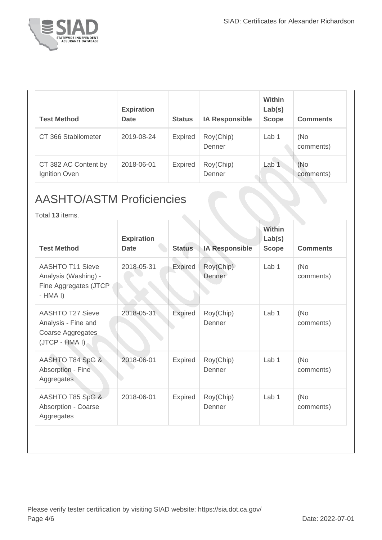

| <b>Test Method</b>                    | <b>Expiration</b><br><b>Date</b> | <b>Status</b>  | <b>IA Responsible</b> | <b>Within</b><br>Lab(s)<br><b>Scope</b> | <b>Comments</b>  |
|---------------------------------------|----------------------------------|----------------|-----------------------|-----------------------------------------|------------------|
| CT 366 Stabilometer                   | 2019-08-24                       | <b>Expired</b> | Roy(Chip)<br>Denner   | Lab 1                                   | (No<br>comments) |
| CT 382 AC Content by<br>Ignition Oven | 2018-06-01                       | <b>Expired</b> | Roy(Chip)<br>Denner   | Lab <sub>1</sub>                        | (No<br>comments) |

## AASHTO/ASTM Proficiencies

Total **13** items.

| <b>Test Method</b>                                                                    | <b>Expiration</b><br><b>Date</b> | <b>Status</b>  | <b>IA Responsible</b> | Within<br>Lab(s)<br><b>Scope</b> | <b>Comments</b>  |
|---------------------------------------------------------------------------------------|----------------------------------|----------------|-----------------------|----------------------------------|------------------|
| <b>AASHTO T11 Sieve</b><br>Analysis (Washing) -<br>Fine Aggregates (JTCP<br>$-HMA I)$ | 2018-05-31                       | Expired        | Roy(Chip)<br>Denner   | Lab <sub>1</sub>                 | (No<br>comments) |
| <b>AASHTO T27 Sieve</b><br>Analysis - Fine and<br>Coarse Aggregates<br>(JTCP - HMA I) | 2018-05-31                       | <b>Expired</b> | Roy(Chip)<br>Denner   | Lab <sub>1</sub>                 | (No<br>comments) |
| AASHTO T84 SpG &<br>Absorption - Fine<br>Aggregates                                   | 2018-06-01                       | Expired        | Roy(Chip)<br>Denner   | Lab <sub>1</sub>                 | (No<br>comments) |
| AASHTO T85 SpG &<br>Absorption - Coarse<br>Aggregates                                 | 2018-06-01                       | Expired        | Roy(Chip)<br>Denner   | Lab <sub>1</sub>                 | (No<br>comments) |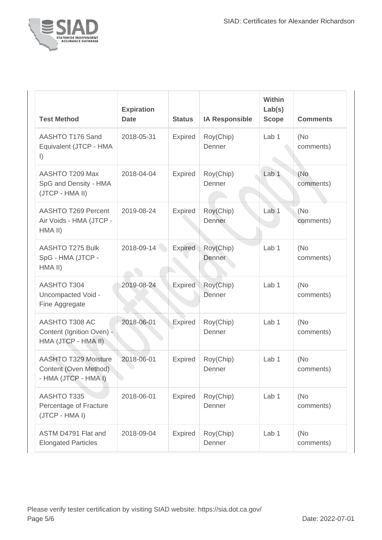

| <b>Test Method</b>                                                            | <b>Expiration</b><br><b>Date</b> | <b>Status</b>  | <b>IA Responsible</b> | Within<br>Lab(s)<br><b>Scope</b> | <b>Comments</b>  |
|-------------------------------------------------------------------------------|----------------------------------|----------------|-----------------------|----------------------------------|------------------|
| AASHTO T176 Sand<br>Equivalent (JTCP - HMA<br>$\vert$                         | 2018-05-31                       | <b>Expired</b> | Roy(Chip)<br>Denner   | Lab 1                            | (No<br>comments) |
| AASHTO T209 Max<br>SpG and Density - HMA<br>(JTCP - HMA II)                   | 2018-04-04                       | <b>Expired</b> | Roy(Chip)<br>Denner   | Lab <sub>1</sub>                 | (No<br>comments) |
| AASHTO T269 Percent<br>Air Voids - HMA (JTCP -<br>HMA II)                     | 2019-08-24                       | <b>Expired</b> | Roy(Chip)<br>Denner   | Lab <sub>1</sub>                 | (No<br>comments) |
| AASHTO T275 Bulk<br>SpG - HMA (JTCP -<br>HMA II)                              | 2018-09-14                       | Expired        | Roy(Chip)<br>Denner   | Lab <sub>1</sub>                 | (No<br>comments) |
| <b>AASHTO T304</b><br>Uncompacted Void -<br>Fine Aggregate                    | 2019-08-24                       | Expired        | Roy(Chip)<br>Denner   | Lab <sub>1</sub>                 | (No<br>comments) |
| AASHTO T308 AC<br>Content (Ignition Oven) -<br>HMA (JTCP - HMA II)            | 2018-06-01                       | Expired        | Roy(Chip)<br>Denner   | Lab <sub>1</sub>                 | (No<br>comments) |
| <b>AASHTO T329 Moisture</b><br>Content (Oven Method).<br>- HMA (JTCP - HMA I) | 2018-06-01                       | <b>Expired</b> | Roy(Chip)<br>Denner   | Lab <sub>1</sub>                 | (No<br>comments) |
| <b>AASHTO T335</b><br>Percentage of Fracture<br>(JTCP - HMA I)                | 2018-06-01                       | Expired        | Roy(Chip)<br>Denner   | Lab 1                            | (No<br>comments) |
| ASTM D4791 Flat and<br><b>Elongated Particles</b>                             | 2018-09-04                       | Expired        | Roy(Chip)<br>Denner   | Lab <sub>1</sub>                 | (No<br>comments) |